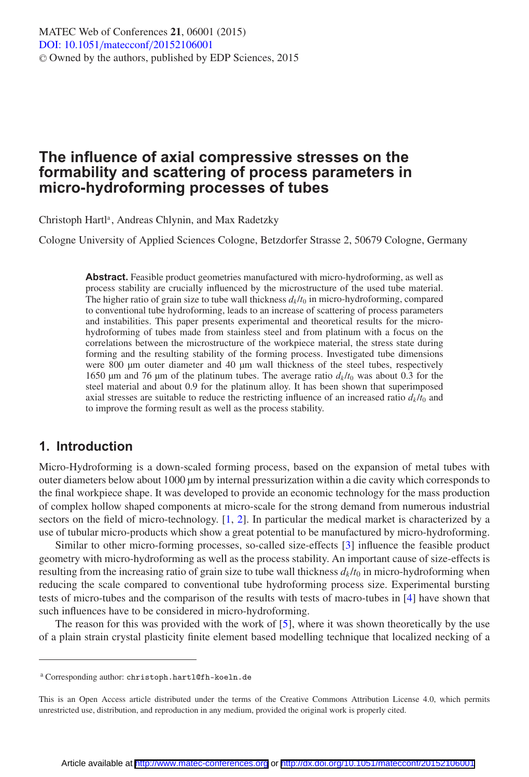# **The influence of axial compressive stresses on the formability and scattering of process parameters in micro-hydroforming processes of tubes**

Christoph Hartl<sup>a</sup>, Andreas Chlynin, and Max Radetzky

Cologne University of Applied Sciences Cologne, Betzdorfer Strasse 2, 50679 Cologne, Germany

**Abstract.** Feasible product geometries manufactured with micro-hydroforming, as well as process stability are crucially influenced by the microstructure of the used tube material. The higher ratio of grain size to tube wall thickness  $d_k/t_0$  in micro-hydroforming, compared to conventional tube hydroforming, leads to an increase of scattering of process parameters and instabilities. This paper presents experimental and theoretical results for the microhydroforming of tubes made from stainless steel and from platinum with a focus on the correlations between the microstructure of the workpiece material, the stress state during forming and the resulting stability of the forming process. Investigated tube dimensions were 800 µm outer diameter and 40 µm wall thickness of the steel tubes, respectively 1650 µm and 76 µm of the platinum tubes. The average ratio  $d_k/t_0$  was about 0.3 for the steel material and about 0.9 for the platinum alloy. It has been shown that superimposed axial stresses are suitable to reduce the restricting influence of an increased ratio  $d_k/t_0$  and to improve the forming result as well as the process stability.

# **1. Introduction**

Micro-Hydroforming is a down-scaled forming process, based on the expansion of metal tubes with outer diameters below about 1000 µm by internal pressurization within a die cavity which corresponds to the final workpiece shape. It was developed to provide an economic technology for the mass production of complex hollow shaped components at micro-scale for the strong demand from numerous industrial sectors on the field of micro-technology. [\[1,](#page-6-0) [2](#page-6-1)]. In particular the medical market is characterized by a use of tubular micro-products which show a great potential to be manufactured by micro-hydroforming.

Similar to other micro-forming processes, so-called size-effects [\[3\]](#page-6-2) influence the feasible product geometry with micro-hydroforming as well as the process stability. An important cause of size-effects is resulting from the increasing ratio of grain size to tube wall thickness  $d_k/t_0$  in micro-hydroforming when reducing the scale compared to conventional tube hydroforming process size. Experimental bursting tests of micro-tubes and the comparison of the results with tests of macro-tubes in [\[4\]](#page-6-3) have shown that such influences have to be considered in micro-hydroforming.

The reason for this was provided with the work of [\[5\]](#page-6-4), where it was shown theoretically by the use of a plain strain crystal plasticity finite element based modelling technique that localized necking of a

<sup>a</sup> Corresponding author: christoph.hartl@fh-koeln.de

This is an Open Access article distributed under the terms of the Creative Commons Attribution License 4.0, which permits unrestricted use, distribution, and reproduction in any medium, provided the original work is properly cited.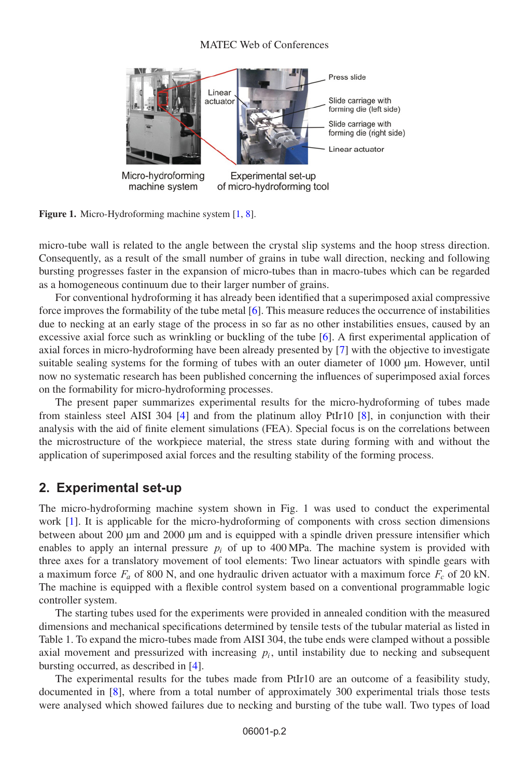#### MATEC Web of Conferences



Figure 1. Micro-Hydroforming machine system [\[1](#page-6-0), [8](#page-6-5)].

micro-tube wall is related to the angle between the crystal slip systems and the hoop stress direction. Consequently, as a result of the small number of grains in tube wall direction, necking and following bursting progresses faster in the expansion of micro-tubes than in macro-tubes which can be regarded as a homogeneous continuum due to their larger number of grains.

For conventional hydroforming it has already been identified that a superimposed axial compressive force improves the formability of the tube metal [\[6\]](#page-6-6). This measure reduces the occurrence of instabilities due to necking at an early stage of the process in so far as no other instabilities ensues, caused by an excessive axial force such as wrinkling or buckling of the tube [\[6](#page-6-6)]. A first experimental application of axial forces in micro-hydroforming have been already presented by [\[7](#page-6-7)] with the objective to investigate suitable sealing systems for the forming of tubes with an outer diameter of 1000 µm. However, until now no systematic research has been published concerning the influences of superimposed axial forces on the formability for micro-hydroforming processes.

The present paper summarizes experimental results for the micro-hydroforming of tubes made from stainless steel AISI 304 [\[4](#page-6-3)] and from the platinum alloy PtIr10 [\[8](#page-6-5)], in conjunction with their analysis with the aid of finite element simulations (FEA). Special focus is on the correlations between the microstructure of the workpiece material, the stress state during forming with and without the application of superimposed axial forces and the resulting stability of the forming process.

### **2. Experimental set-up**

The micro-hydroforming machine system shown in Fig. 1 was used to conduct the experimental work [\[1\]](#page-6-0). It is applicable for the micro-hydroforming of components with cross section dimensions between about 200 µm and 2000 µm and is equipped with a spindle driven pressure intensifier which enables to apply an internal pressure  $p_i$  of up to 400 MPa. The machine system is provided with three axes for a translatory movement of tool elements: Two linear actuators with spindle gears with a maximum force  $F_a$  of 800 N, and one hydraulic driven actuator with a maximum force  $F_c$  of 20 kN. The machine is equipped with a flexible control system based on a conventional programmable logic controller system.

The starting tubes used for the experiments were provided in annealed condition with the measured dimensions and mechanical specifications determined by tensile tests of the tubular material as listed in Table 1. To expand the micro-tubes made from AISI 304, the tube ends were clamped without a possible axial movement and pressurized with increasing  $p_i$ , until instability due to necking and subsequent bursting occurred, as described in [\[4](#page-6-3)].

The experimental results for the tubes made from PtIr10 are an outcome of a feasibility study, documented in [\[8\]](#page-6-5), where from a total number of approximately 300 experimental trials those tests were analysed which showed failures due to necking and bursting of the tube wall. Two types of load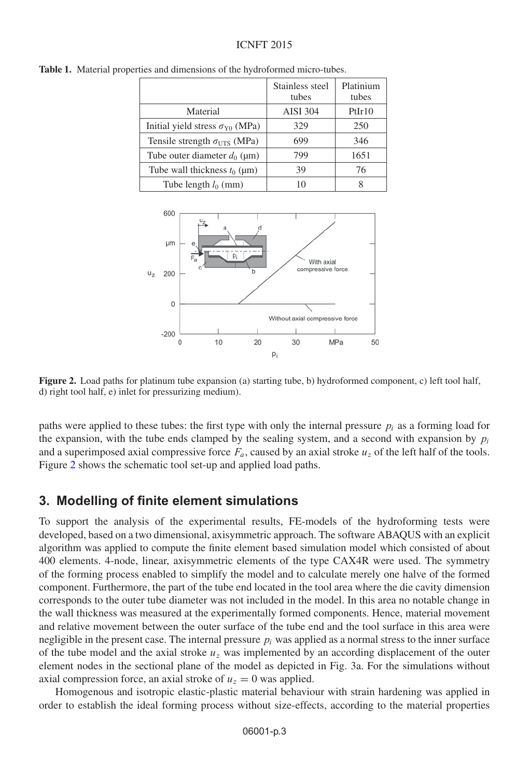#### ICNFT 2015

|                                              | Stainless steel<br>tubes | Platinium<br>tubes |
|----------------------------------------------|--------------------------|--------------------|
| Material                                     | <b>AISI 304</b>          | PtIr10             |
| Initial yield stress $\sigma_{\rm Y0}$ (MPa) | 329                      | 250                |
| Tensile strength $\sigma_{UTS}$ (MPa)        | 699                      | 346                |
| Tube outer diameter $d_0$ (µm)               | 799                      | 1651               |
| Tube wall thickness $t_0$ ( $\mu$ m)         | 39                       | 76                 |
| Tube length $l_0$ (mm)                       |                          |                    |

<span id="page-2-0"></span>**Table 1.** Material properties and dimensions of the hydroformed micro-tubes.



**Figure 2.** Load paths for platinum tube expansion (a) starting tube, b) hydroformed component, c) left tool half, d) right tool half, e) inlet for pressurizing medium).

paths were applied to these tubes: the first type with only the internal pressure  $p_i$  as a forming load for the expansion, with the tube ends clamped by the sealing system, and a second with expansion by  $p_i$ and a superimposed axial compressive force  $F_a$ , caused by an axial stroke  $u_z$  of the left half of the tools. Figure [2](#page-2-0) shows the schematic tool set-up and applied load paths.

#### **3. Modelling of finite element simulations**

To support the analysis of the experimental results, FE-models of the hydroforming tests were developed, based on a two dimensional, axisymmetric approach. The software ABAQUS with an explicit algorithm was applied to compute the finite element based simulation model which consisted of about 400 elements. 4-node, linear, axisymmetric elements of the type CAX4R were used. The symmetry of the forming process enabled to simplify the model and to calculate merely one halve of the formed component. Furthermore, the part of the tube end located in the tool area where the die cavity dimension corresponds to the outer tube diameter was not included in the model. In this area no notable change in the wall thickness was measured at the experimentally formed components. Hence, material movement and relative movement between the outer surface of the tube end and the tool surface in this area were negligible in the present case. The internal pressure  $p_i$  was applied as a normal stress to the inner surface of the tube model and the axial stroke  $u<sub>z</sub>$  was implemented by an according displacement of the outer element nodes in the sectional plane of the model as depicted in Fig. 3a. For the simulations without axial compression force, an axial stroke of  $u<sub>z</sub> = 0$  was applied.

Homogenous and isotropic elastic-plastic material behaviour with strain hardening was applied in order to establish the ideal forming process without size-effects, according to the material properties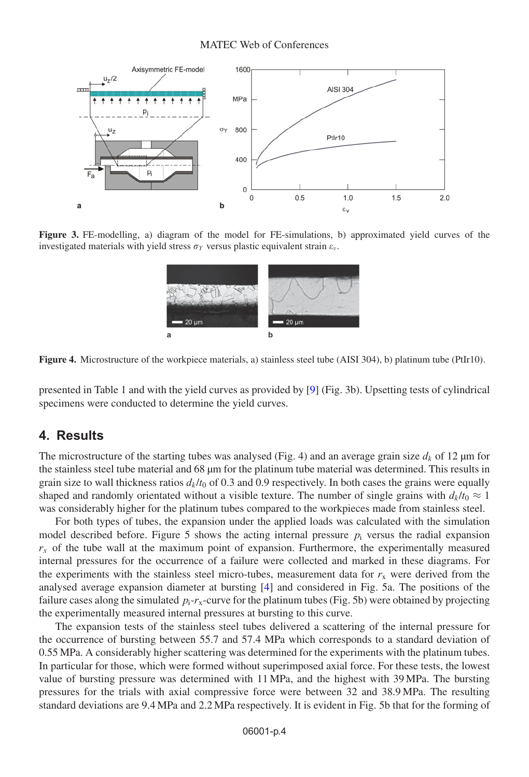#### MATEC Web of Conferences



**Figure 3.** FE-modelling, a) diagram of the model for FE-simulations, b) approximated yield curves of the investigated materials with yield stress  $\sigma_Y$  versus plastic equivalent strain  $\varepsilon_v$ .



**Figure 4.** Microstructure of the workpiece materials, a) stainless steel tube (AISI 304), b) platinum tube (PtIr10).

presented in Table 1 and with the yield curves as provided by [\[9](#page-6-8)] (Fig. 3b). Upsetting tests of cylindrical specimens were conducted to determine the yield curves.

# **4. Results**

The microstructure of the starting tubes was analysed (Fig. 4) and an average grain size  $d_k$  of 12  $\mu$ m for the stainless steel tube material and 68 µm for the platinum tube material was determined. This results in grain size to wall thickness ratios  $d_k/t_0$  of 0.3 and 0.9 respectively. In both cases the grains were equally shaped and randomly orientated without a visible texture. The number of single grains with  $d_k/t_0 \approx 1$ was considerably higher for the platinum tubes compared to the workpieces made from stainless steel.

For both types of tubes, the expansion under the applied loads was calculated with the simulation model described before. Figure 5 shows the acting internal pressure  $p_i$  versus the radial expansion  $r<sub>x</sub>$  of the tube wall at the maximum point of expansion. Furthermore, the experimentally measured internal pressures for the occurrence of a failure were collected and marked in these diagrams. For the experiments with the stainless steel micro-tubes, measurement data for  $r<sub>x</sub>$  were derived from the analysed average expansion diameter at bursting [\[4\]](#page-6-3) and considered in Fig. 5a. The positions of the failure cases along the simulated  $p_i$ - $r_x$ -curve for the platinum tubes (Fig. 5b) were obtained by projecting the experimentally measured internal pressures at bursting to this curve.

The expansion tests of the stainless steel tubes delivered a scattering of the internal pressure for the occurrence of bursting between 55.7 and 57.4 MPa which corresponds to a standard deviation of 0.55 MPa. A considerably higher scattering was determined for the experiments with the platinum tubes. In particular for those, which were formed without superimposed axial force. For these tests, the lowest value of bursting pressure was determined with 11 MPa, and the highest with 39 MPa. The bursting pressures for the trials with axial compressive force were between 32 and 38.9 MPa. The resulting standard deviations are 9.4 MPa and 2.2 MPa respectively. It is evident in Fig. 5b that for the forming of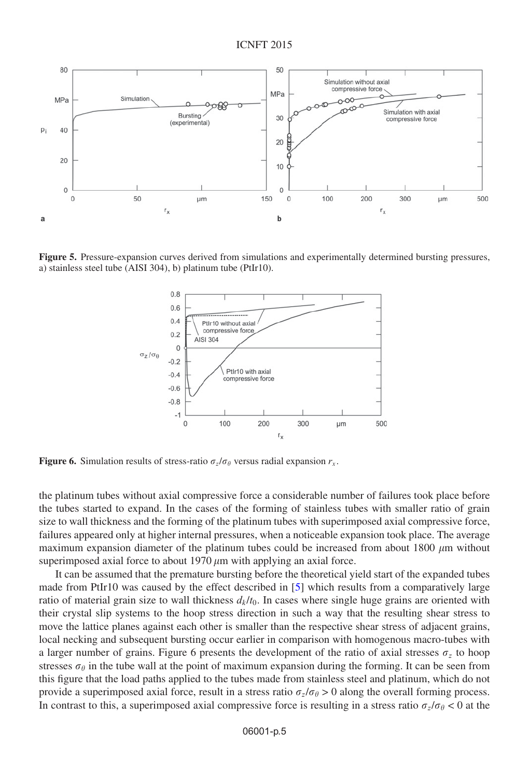

**Figure 5.** Pressure-expansion curves derived from simulations and experimentally determined bursting pressures, a) stainless steel tube (AISI 304), b) platinum tube (PtIr10).



**Figure 6.** Simulation results of stress-ratio  $\sigma_z/\sigma_\theta$  versus radial expansion  $r_x$ .

the platinum tubes without axial compressive force a considerable number of failures took place before the tubes started to expand. In the cases of the forming of stainless tubes with smaller ratio of grain size to wall thickness and the forming of the platinum tubes with superimposed axial compressive force, failures appeared only at higher internal pressures, when a noticeable expansion took place. The average maximum expansion diameter of the platinum tubes could be increased from about 1800  $\mu$ m without superimposed axial force to about  $1970 \mu m$  with applying an axial force.

It can be assumed that the premature bursting before the theoretical yield start of the expanded tubes made from PtIr10 was caused by the effect described in [\[5\]](#page-6-4) which results from a comparatively large ratio of material grain size to wall thickness  $d_k/t_0$ . In cases where single huge grains are oriented with their crystal slip systems to the hoop stress direction in such a way that the resulting shear stress to move the lattice planes against each other is smaller than the respective shear stress of adjacent grains, local necking and subsequent bursting occur earlier in comparison with homogenous macro-tubes with a larger number of grains. Figure 6 presents the development of the ratio of axial stresses  $\sigma_z$  to hoop stresses  $\sigma_{\theta}$  in the tube wall at the point of maximum expansion during the forming. It can be seen from this figure that the load paths applied to the tubes made from stainless steel and platinum, which do not provide a superimposed axial force, result in a stress ratio  $\sigma_z / \sigma_\theta > 0$  along the overall forming process. In contrast to this, a superimposed axial compressive force is resulting in a stress ratio  $\sigma_z/\sigma_\theta < 0$  at the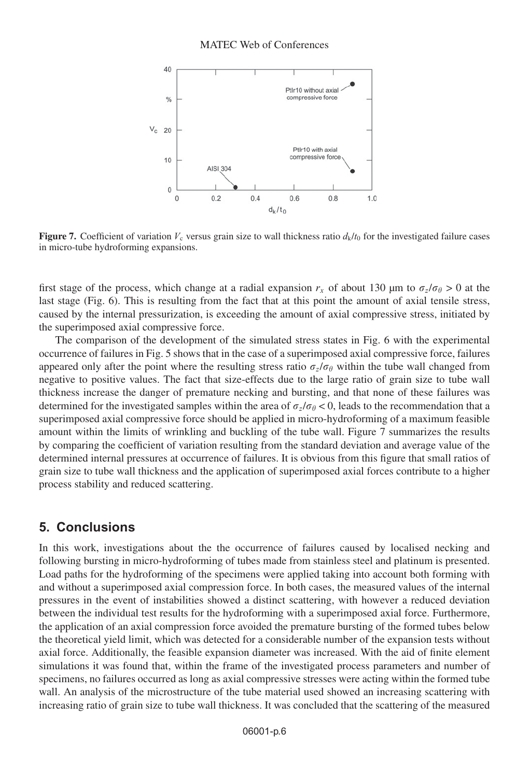

**Figure 7.** Coefficient of variation  $V_c$  versus grain size to wall thickness ratio  $d_k/t_0$  for the investigated failure cases in micro-tube hydroforming expansions.

first stage of the process, which change at a radial expansion  $r_x$  of about 130 µm to  $\sigma_z/\sigma_\theta > 0$  at the last stage (Fig. 6). This is resulting from the fact that at this point the amount of axial tensile stress, caused by the internal pressurization, is exceeding the amount of axial compressive stress, initiated by the superimposed axial compressive force.

The comparison of the development of the simulated stress states in Fig. 6 with the experimental occurrence of failures in Fig. 5 shows that in the case of a superimposed axial compressive force, failures appeared only after the point where the resulting stress ratio  $\sigma_z/\sigma_\theta$  within the tube wall changed from negative to positive values. The fact that size-effects due to the large ratio of grain size to tube wall thickness increase the danger of premature necking and bursting, and that none of these failures was determined for the investigated samples within the area of  $\sigma_z/\sigma_\theta < 0$ , leads to the recommendation that a superimposed axial compressive force should be applied in micro-hydroforming of a maximum feasible amount within the limits of wrinkling and buckling of the tube wall. Figure 7 summarizes the results by comparing the coefficient of variation resulting from the standard deviation and average value of the determined internal pressures at occurrence of failures. It is obvious from this figure that small ratios of grain size to tube wall thickness and the application of superimposed axial forces contribute to a higher process stability and reduced scattering.

### **5. Conclusions**

In this work, investigations about the the occurrence of failures caused by localised necking and following bursting in micro-hydroforming of tubes made from stainless steel and platinum is presented. Load paths for the hydroforming of the specimens were applied taking into account both forming with and without a superimposed axial compression force. In both cases, the measured values of the internal pressures in the event of instabilities showed a distinct scattering, with however a reduced deviation between the individual test results for the hydroforming with a superimposed axial force. Furthermore, the application of an axial compression force avoided the premature bursting of the formed tubes below the theoretical yield limit, which was detected for a considerable number of the expansion tests without axial force. Additionally, the feasible expansion diameter was increased. With the aid of finite element simulations it was found that, within the frame of the investigated process parameters and number of specimens, no failures occurred as long as axial compressive stresses were acting within the formed tube wall. An analysis of the microstructure of the tube material used showed an increasing scattering with increasing ratio of grain size to tube wall thickness. It was concluded that the scattering of the measured